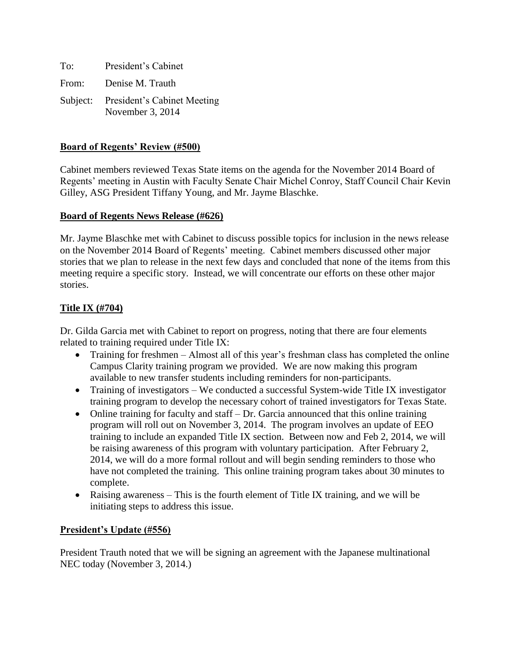To: President's Cabinet From: Denise M. Trauth Subject: President's Cabinet Meeting November 3, 2014

# **Board of Regents' Review (#500)**

Cabinet members reviewed Texas State items on the agenda for the November 2014 Board of Regents' meeting in Austin with Faculty Senate Chair Michel Conroy, Staff Council Chair Kevin Gilley, ASG President Tiffany Young, and Mr. Jayme Blaschke.

# **Board of Regents News Release (#626)**

Mr. Jayme Blaschke met with Cabinet to discuss possible topics for inclusion in the news release on the November 2014 Board of Regents' meeting. Cabinet members discussed other major stories that we plan to release in the next few days and concluded that none of the items from this meeting require a specific story. Instead, we will concentrate our efforts on these other major stories.

# **Title IX (#704)**

Dr. Gilda Garcia met with Cabinet to report on progress, noting that there are four elements related to training required under Title IX:

- Training for freshmen Almost all of this year's freshman class has completed the online Campus Clarity training program we provided. We are now making this program available to new transfer students including reminders for non-participants.
- Training of investigators We conducted a successful System-wide Title IX investigator training program to develop the necessary cohort of trained investigators for Texas State.
- Online training for faculty and staff Dr. Garcia announced that this online training program will roll out on November 3, 2014. The program involves an update of EEO training to include an expanded Title IX section. Between now and Feb 2, 2014, we will be raising awareness of this program with voluntary participation. After February 2, 2014, we will do a more formal rollout and will begin sending reminders to those who have not completed the training. This online training program takes about 30 minutes to complete.
- Raising awareness This is the fourth element of Title IX training, and we will be initiating steps to address this issue.

### **President's Update (#556)**

President Trauth noted that we will be signing an agreement with the Japanese multinational NEC today (November 3, 2014.)